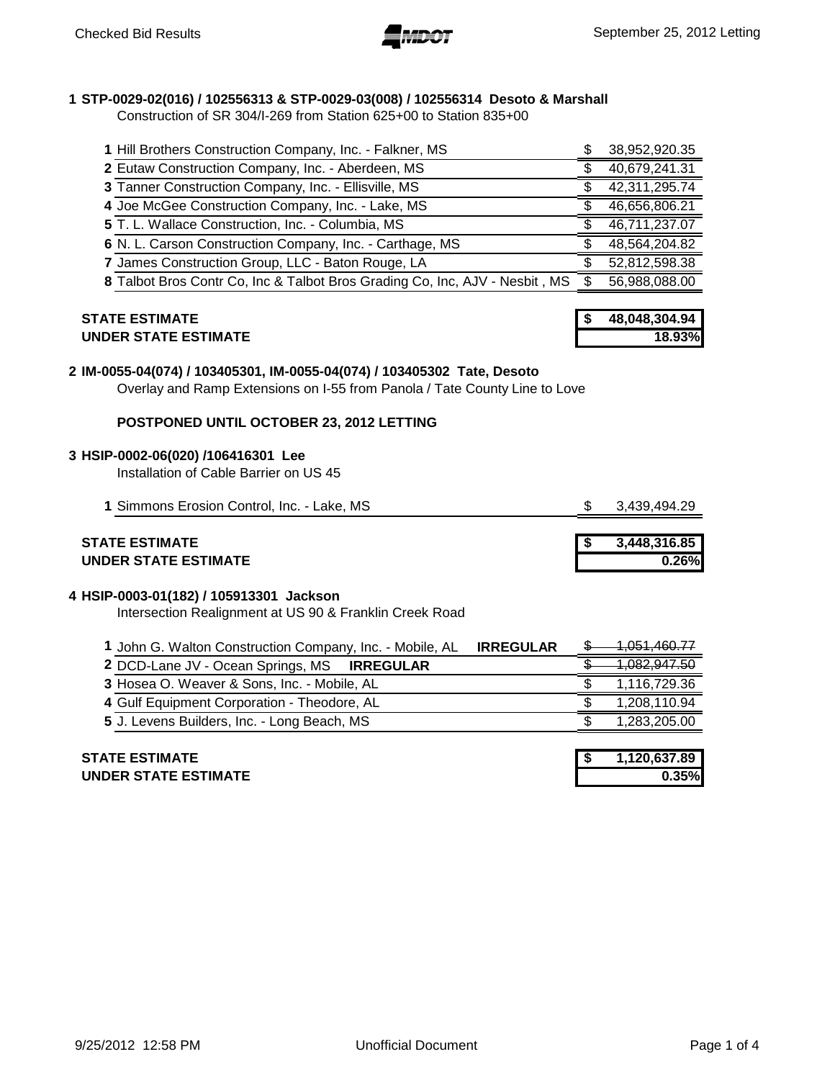# **1 STP-0029-02(016) / 102556313 & STP-0029-03(008) / 102556314 Desoto & Marshall**

Construction of SR 304/I-269 from Station 625+00 to Station 835+00

| 1 Hill Brothers Construction Company, Inc. - Falkner, MS                    | 38,952,920.35 |
|-----------------------------------------------------------------------------|---------------|
| 2 Eutaw Construction Company, Inc. - Aberdeen, MS                           | 40,679,241.31 |
| 3 Tanner Construction Company, Inc. - Ellisville, MS                        | 42,311,295.74 |
| 4 Joe McGee Construction Company, Inc. - Lake, MS                           | 46,656,806.21 |
| 5 T. L. Wallace Construction, Inc. - Columbia, MS                           | 46,711,237.07 |
| 6 N. L. Carson Construction Company, Inc. - Carthage, MS                    | 48,564,204.82 |
| 7 James Construction Group, LLC - Baton Rouge, LA                           | 52,812,598.38 |
| 8 Talbot Bros Contr Co, Inc & Talbot Bros Grading Co, Inc, AJV - Nesbit, MS | 56,988,088.00 |

# **STATE ESTIMATE UNDER STATE ESTIMATE 18.93%**

| 48.048.304.94 |
|---------------|
| 18.93%        |

# **2 IM-0055-04(074) / 103405301, IM-0055-04(074) / 103405302 Tate, Desoto**

Overlay and Ramp Extensions on I-55 from Panola / Tate County Line to Love

# **POSTPONED UNTIL OCTOBER 23, 2012 LETTING**

## **3 HSIP-0002-06(020) /106416301 Lee**

Installation of Cable Barrier on US 45

| 1 Simmons Erosion Control, Inc. - Lake, MS | \$3,439,494.29 |
|--------------------------------------------|----------------|
|--------------------------------------------|----------------|

# **STATE ESTIMATE**<br>UNDER STATE ESTIMATE **UNDER STATE ESTIMATE 0.26%**

| 3,448,316.85 |
|--------------|
| $0.26\%$     |

# **4 HSIP-0003-01(182) / 105913301 Jackson**

Intersection Realignment at US 90 & Franklin Creek Road

| 1 John G. Walton Construction Company, Inc. - Mobile, AL<br><b>IRREGULAR</b> | <del>1.051.460.77</del> |
|------------------------------------------------------------------------------|-------------------------|
| 2 DCD-Lane JV - Ocean Springs, MS IRREGULAR                                  |                         |
| 3 Hosea O. Weaver & Sons, Inc. - Mobile, AL                                  | 1,116,729.36            |
| 4 Gulf Equipment Corporation - Theodore, AL                                  | 1,208,110.94            |
| 5 J. Levens Builders, Inc. - Long Beach, MS                                  | 1,283,205.00            |
|                                                                              |                         |
| <b>STATE ESTIMATE</b>                                                        | 1,120,637.89            |
|                                                                              |                         |

**UNDER STATE ESTIMATE 0.35%**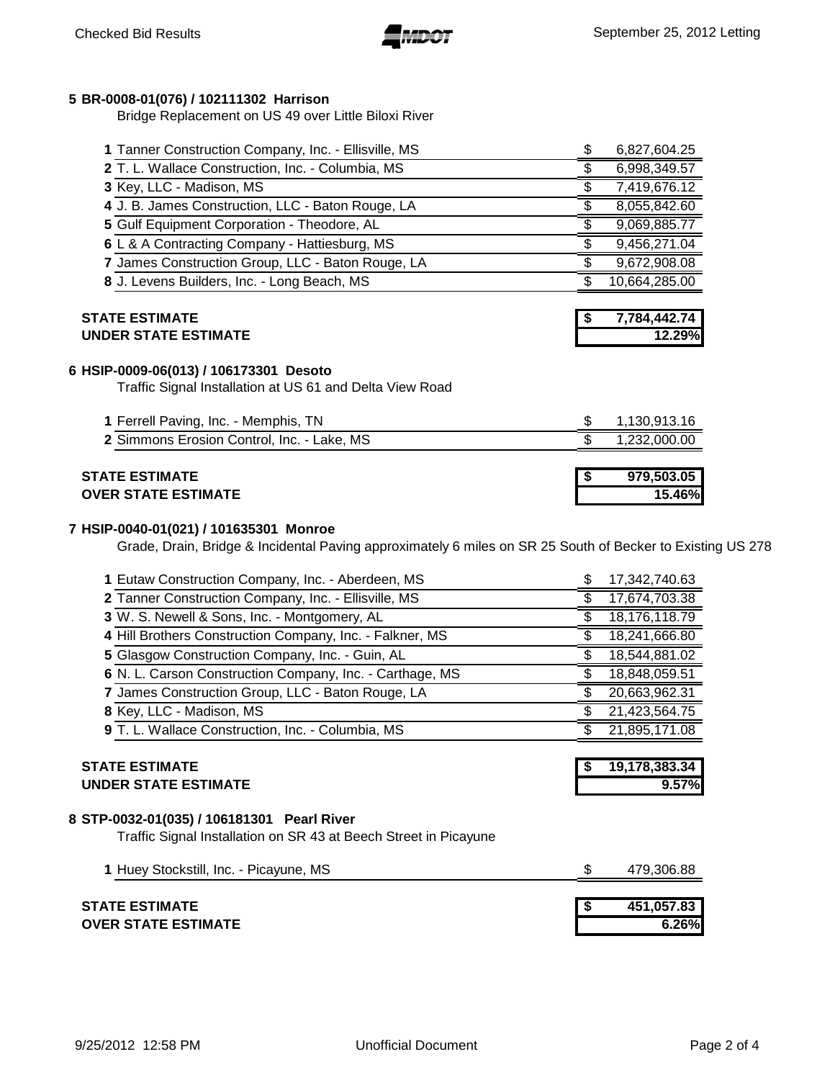# **BR-0008-01(076) / 102111302 Harrison**

Bridge Replacement on US 49 over Little Biloxi River

| 1 Tanner Construction Company, Inc. - Ellisville, MS                                               | \$ | 6,827,604.25           |
|----------------------------------------------------------------------------------------------------|----|------------------------|
| 2 T. L. Wallace Construction, Inc. - Columbia, MS                                                  | \$ | 6,998,349.57           |
| 3 Key, LLC - Madison, MS                                                                           | \$ | 7,419,676.12           |
| 4 J. B. James Construction, LLC - Baton Rouge, LA                                                  | \$ | 8,055,842.60           |
| 5 Gulf Equipment Corporation - Theodore, AL                                                        | \$ | 9,069,885.77           |
| 6 L & A Contracting Company - Hattiesburg, MS                                                      |    | 9,456,271.04           |
| 7 James Construction Group, LLC - Baton Rouge, LA                                                  |    | 9,672,908.08           |
| 8 J. Levens Builders, Inc. - Long Beach, MS                                                        |    | 10,664,285.00          |
| <b>STATE ESTIMATE</b><br><b>UNDER STATE ESTIMATE</b>                                               |    | 7,784,442.74<br>12.29% |
|                                                                                                    |    |                        |
| 6 HSIP-0009-06(013) / 106173301 Desoto<br>Traffic Signal Installation at US 61 and Delta View Road |    |                        |
| 1 Ferrell Paving, Inc. - Memphis, TN                                                               | \$ | 1,130,913.16           |
| 2 Simmons Erosion Control, Inc. - Lake, MS                                                         | \$ | 1,232,000.00           |
| <b>STATE ESTIMATE</b><br><b>OVER STATE ESTIMATE</b>                                                | 5  | 979,503.05<br>15.46%   |

## **HSIP-0040-01(021) / 101635301 Monroe**

Grade, Drain, Bridge & Incidental Paving approximately 6 miles on SR 25 South of Becker to Existing US 278

| <b>UNDER STATE ESTIMATE</b>                              | 9.57%         |
|----------------------------------------------------------|---------------|
| <b>STATE ESTIMATE</b>                                    | 19,178,383.34 |
| 9 T. L. Wallace Construction, Inc. - Columbia, MS        | 21,895,171.08 |
| 8 Key, LLC - Madison, MS                                 | 21,423,564.75 |
| 7 James Construction Group, LLC - Baton Rouge, LA        | 20,663,962.31 |
| 6 N. L. Carson Construction Company, Inc. - Carthage, MS | 18,848,059.51 |
| 5 Glasgow Construction Company, Inc. - Guin, AL          | 18,544,881.02 |
| 4 Hill Brothers Construction Company, Inc. - Falkner, MS | 18,241,666.80 |
| 3 W. S. Newell & Sons, Inc. - Montgomery, AL             | 18,176,118.79 |
| 2 Tanner Construction Company, Inc. - Ellisville, MS     | 17,674,703.38 |
| 1 Eutaw Construction Company, Inc. - Aberdeen, MS        | 17,342,740.63 |

# **STP-0032-01(035) / 106181301 Pearl River**

Traffic Signal Installation on SR 43 at Beech Street in Picayune

| 1 Huey Stockstill, Inc. - Picayune, MS | 479,306.88 |
|----------------------------------------|------------|
|                                        |            |
| STATE ESTIMATE                         | 451.057.83 |
| OVER STATE ESTIMATE                    | 6.26%      |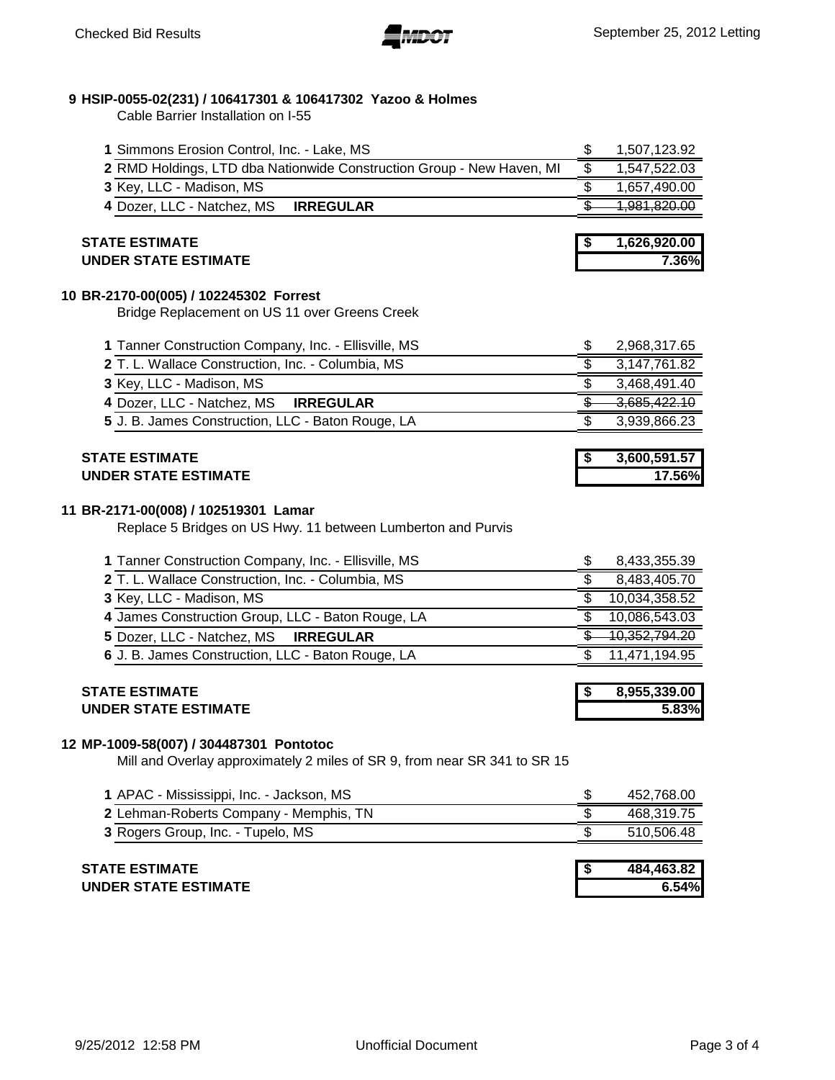# **HSIP-0055-02(231) / 106417301 & 106417302 Yazoo & Holmes**

Cable Barrier Installation on I-55

| 1 Simmons Erosion Control, Inc. - Lake, MS                            | 1,507,123.92           |
|-----------------------------------------------------------------------|------------------------|
| 2 RMD Holdings, LTD dba Nationwide Construction Group - New Haven, MI | 1,547,522.03           |
| 3 Key, LLC - Madison, MS                                              | 1,657,490.00           |
| 4 Dozer, LLC - Natchez, MS<br><b>IRREGULAR</b>                        | <del>981,820.00,</del> |
|                                                                       |                        |
| <b>STATE ESTIMATE</b>                                                 | 1,626,920.00           |
| <b>UNDER STATE ESTIMATE</b>                                           | 7.36%                  |
| 10 BR-2170-00(005) / 102245302 Forrest                                |                        |

Bridge Replacement on US 11 over Greens Creek

| 2,968,317.65 |
|--------------|
| 3,147,761.82 |
| 3,468,491.40 |
| 3,685,422.10 |
| 3,939,866.23 |
|              |

# **STATE ESTIMATE \$ 3,600,591.57 UNDER STATE ESTIMATE 17.56%**

#### **BR-2171-00(008) / 102519301 Lamar**

Replace 5 Bridges on US Hwy. 11 between Lumberton and Purvis

| 8,433,355.39  |
|---------------|
| 8,483,405.70  |
| 10,034,358.52 |
| 10,086,543.03 |
| 10,352,794.20 |
| 11,471,194.95 |
|               |

## **STATE ESTIMATE \$ 8,955,339.00 UNDER STATE ESTIMATE 5.83%**

#### **MP-1009-58(007) / 304487301 Pontotoc**

Mill and Overlay approximately 2 miles of SR 9, from near SR 341 to SR 15

| 1 APAC - Mississippi, Inc. - Jackson, MS      | 452,768.00 |
|-----------------------------------------------|------------|
| <b>2 Lehman-Roberts Company - Memphis, TN</b> | 468.319.75 |
| 3 Rogers Group, Inc. - Tupelo, MS             | 510.506.48 |

| <b>STATE ESTIMATE</b>       | 484.463.82 |
|-----------------------------|------------|
| <b>UNDER STATE ESTIMATE</b> | 6.54%      |
|                             |            |